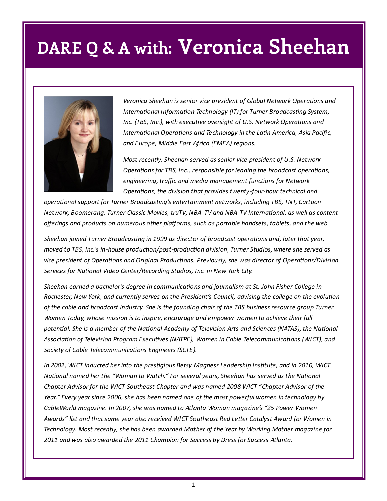## **DARE Q & A with: Veronica Sheehan**



*Veronica Sheehan is senior vice president of Global Network Operations and International Information Technology (IT) for Turner Broadcasting System, Inc. (TBS, Inc.), with executive oversight of U.S. Network Operations and International Operations and Technology in the Latin America, Asia Pacific, and Europe, Middle East Africa (EMEA) regions.* 

*Most recently, Sheehan served as senior vice president of U.S. Network Operations for TBS, Inc., responsible for leading the broadcast operations, engineering, traffic and media management functions for Network Operations, the division that provides twenty-four-hour technical and* 

*operational support for Turner Broadcasting's entertainment networks, including TBS, TNT, Cartoon Network, Boomerang, Turner Classic Movies, truTV, NBA-TV and NBA-TV International, as well as content offerings and products on numerous other platforms, such as portable handsets, tablets, and the web.* 

*Sheehan joined Turner Broadcasting in 1999 as director of broadcast operations and, later that year, moved to TBS, Inc.'s in-house production/post-production division, Turner Studios, where she served as vice president of Operations and Original Productions. Previously, she was director of Operations/Division Services for National Video Center/Recording Studios, Inc. in New York City.*

*Sheehan earned a bachelor's degree in communications and journalism at St. John Fisher College in Rochester, New York, and currently serves on the President's Council, advising the college on the evolution of the cable and broadcast industry. She is the founding chair of the TBS business resource group Turner Women Today, whose mission is to inspire, encourage and empower women to achieve their full potential. She is a member of the National Academy of Television Arts and Sciences (NATAS), the National Association of Television Program Executives (NATPE), Women in Cable Telecommunications (WICT), and Society of Cable Telecommunications Engineers (SCTE).* 

*In 2002, WICT inducted her into the prestigious Betsy Magness Leadership Institute, and in 2010, WICT National named her the "Woman to Watch." For several years, Sheehan has served as the National Chapter Advisor for the WICT Southeast Chapter and was named 2008 WICT "Chapter Advisor of the Year." Every year since 2006, she has been named one of the most powerful women in technology by CableWorld magazine. In 2007, she was named to Atlanta Woman magazine's "25 Power Women Awards" list and that same year also received WICT Southeast Red Letter Catalyst Award for Women in Technology. Most recently, she has been awarded Mother of the Year by Working Mother magazine for 2011 and was also awarded the 2011 Champion for Success by Dress for Success Atlanta.*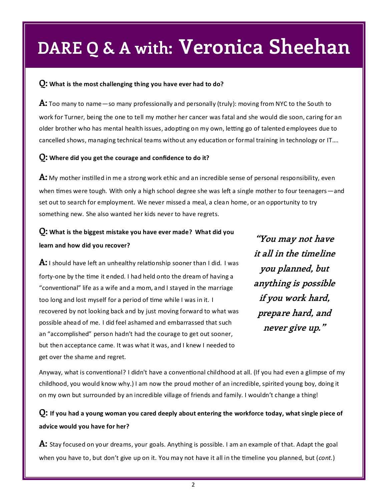## **DARE Q & A with: Veronica Sheehan**

#### **Q: What is the most challenging thing you have ever had to do?**

**A:** Too many to name—so many professionally and personally (truly): moving from NYC to the South to work for Turner, being the one to tell my mother her cancer was fatal and she would die soon, caring for an older brother who has mental health issues, adopting on my own, letting go of talented employees due to cancelled shows, managing technical teams without any education or formal training in technology or IT….

#### **Q: Where did you get the courage and confidence to do it?**

**A:** My mother instilled in me a strong work ethic and an incredible sense of personal responsibility, even when times were tough. With only a high school degree she was left a single mother to four teenagers —and set out to search for employment. We never missed a meal, a clean home, or an opportunity to try something new. She also wanted her kids never to have regrets.

### **Q: What is the biggest mistake you have ever made? What did you learn and how did you recover?**

**A:** I should have left an unhealthy relationship sooner than I did. I was forty-one by the time it ended. I had held onto the dream of having a "conventional" life as a wife and a mom, and I stayed in the marriage too long and lost myself for a period of time while I was in it. I recovered by not looking back and by just moving forward to what was possible ahead of me. I did feel ashamed and embarrassed that such an "accomplished" person hadn't had the courage to get out sooner, but then acceptance came. It was what it was, and I knew I needed to get over the shame and regret.

**"You may not have it all in the timeline you planned, but anything is possible if you work hard, prepare hard, and never give up."**

Anyway, what is conventional? I didn't have a conventional childhood at all. (If you had even a glimpse of my childhood, you would know why.) I am now the proud mother of an incredible, spirited young boy, doing it on my own but surrounded by an incredible village of friends and family. I wouldn't change a thing!

### **Q: If you had a young woman you cared deeply about entering the workforce today, what single piece of advice would you have for her?**

**A:** Stay focused on your dreams, your goals. Anything is possible. I am an example of that. Adapt the goal when you have to, but don't give up on it. You may not have it all in the timeline you planned, but (*cont.*)